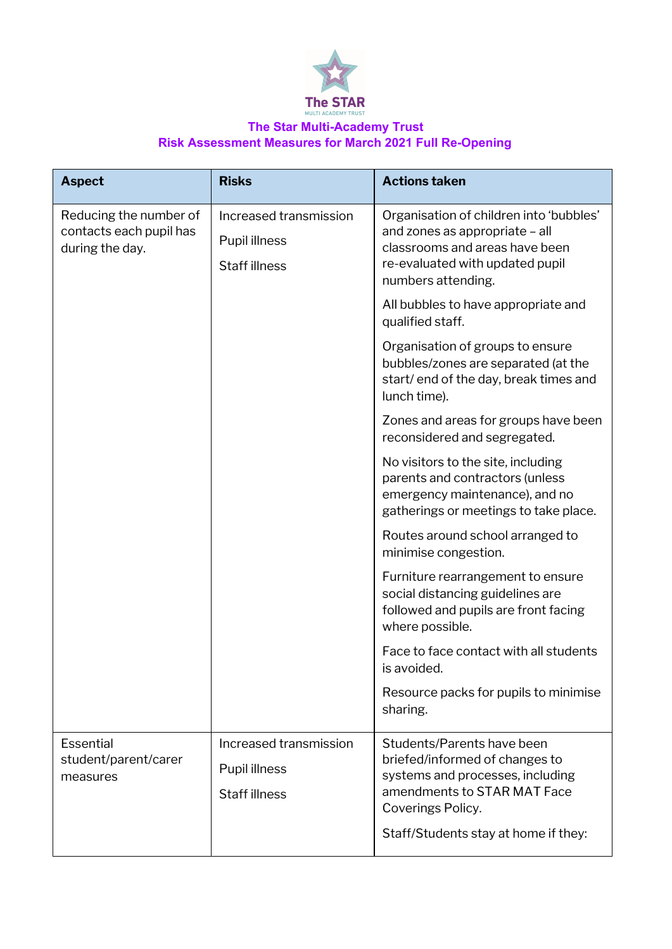

## **The Star Multi-Academy Trust Risk Assessment Measures for March 2021 Full Re-Opening**

| <b>Aspect</b>                                                        | <b>Risks</b>                                                    | <b>Actions taken</b>                                                                                                                                                                         |
|----------------------------------------------------------------------|-----------------------------------------------------------------|----------------------------------------------------------------------------------------------------------------------------------------------------------------------------------------------|
| Reducing the number of<br>contacts each pupil has<br>during the day. | Increased transmission<br>Pupil illness<br><b>Staff illness</b> | Organisation of children into 'bubbles'<br>and zones as appropriate - all<br>classrooms and areas have been<br>re-evaluated with updated pupil<br>numbers attending.                         |
|                                                                      |                                                                 | All bubbles to have appropriate and<br>qualified staff.                                                                                                                                      |
|                                                                      |                                                                 | Organisation of groups to ensure<br>bubbles/zones are separated (at the<br>start/end of the day, break times and<br>lunch time).                                                             |
|                                                                      |                                                                 | Zones and areas for groups have been<br>reconsidered and segregated.                                                                                                                         |
|                                                                      |                                                                 | No visitors to the site, including<br>parents and contractors (unless<br>emergency maintenance), and no<br>gatherings or meetings to take place.                                             |
|                                                                      |                                                                 | Routes around school arranged to<br>minimise congestion.                                                                                                                                     |
|                                                                      |                                                                 | Furniture rearrangement to ensure<br>social distancing guidelines are<br>followed and pupils are front facing<br>where possible.                                                             |
|                                                                      |                                                                 | Face to face contact with all students<br>is avoided.                                                                                                                                        |
|                                                                      |                                                                 | Resource packs for pupils to minimise<br>sharing.                                                                                                                                            |
| <b>Essential</b><br>student/parent/carer<br>measures                 | Increased transmission<br>Pupil illness<br><b>Staff illness</b> | Students/Parents have been<br>briefed/informed of changes to<br>systems and processes, including<br>amendments to STAR MAT Face<br>Coverings Policy.<br>Staff/Students stay at home if they: |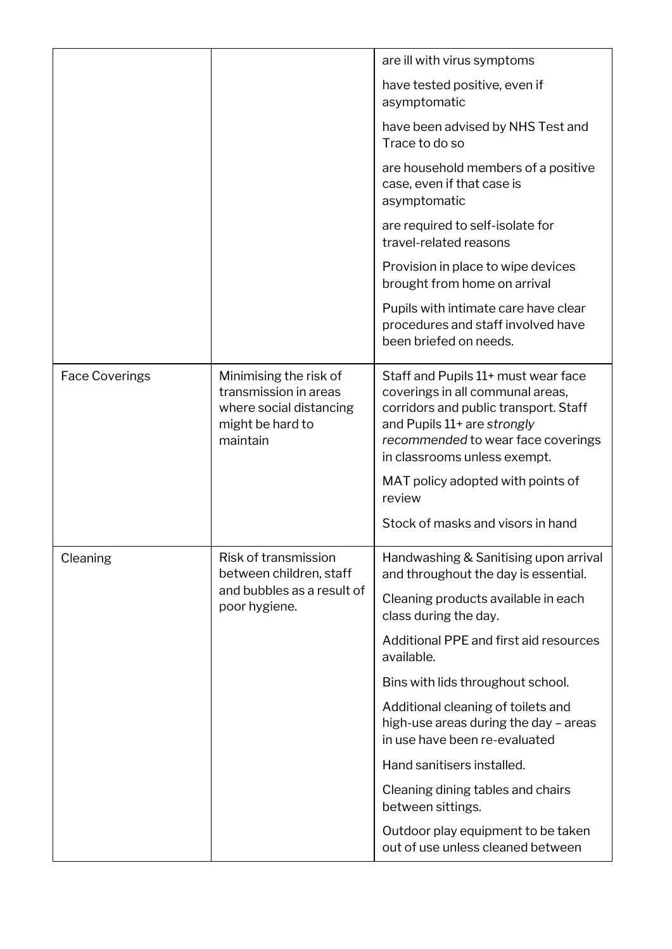|                       |                                                                                                            | are ill with virus symptoms                                                                                                                                                                                           |
|-----------------------|------------------------------------------------------------------------------------------------------------|-----------------------------------------------------------------------------------------------------------------------------------------------------------------------------------------------------------------------|
|                       |                                                                                                            | have tested positive, even if<br>asymptomatic                                                                                                                                                                         |
|                       |                                                                                                            | have been advised by NHS Test and<br>Trace to do so                                                                                                                                                                   |
|                       |                                                                                                            | are household members of a positive<br>case, even if that case is<br>asymptomatic                                                                                                                                     |
|                       |                                                                                                            | are required to self-isolate for<br>travel-related reasons                                                                                                                                                            |
|                       |                                                                                                            | Provision in place to wipe devices<br>brought from home on arrival                                                                                                                                                    |
|                       |                                                                                                            | Pupils with intimate care have clear<br>procedures and staff involved have<br>been briefed on needs.                                                                                                                  |
| <b>Face Coverings</b> | Minimising the risk of<br>transmission in areas<br>where social distancing<br>might be hard to<br>maintain | Staff and Pupils 11+ must wear face<br>coverings in all communal areas,<br>corridors and public transport. Staff<br>and Pupils 11+ are strongly<br>recommended to wear face coverings<br>in classrooms unless exempt. |
|                       |                                                                                                            | MAT policy adopted with points of<br>review                                                                                                                                                                           |
|                       |                                                                                                            | Stock of masks and visors in hand                                                                                                                                                                                     |
| Cleaning              | Risk of transmission<br>between children, staff                                                            | Handwashing & Sanitising upon arrival<br>and throughout the day is essential.                                                                                                                                         |
| poor hygiene.         | and bubbles as a result of                                                                                 | Cleaning products available in each<br>class during the day.                                                                                                                                                          |
|                       |                                                                                                            | Additional PPE and first aid resources<br>available.                                                                                                                                                                  |
|                       |                                                                                                            | Bins with lids throughout school.                                                                                                                                                                                     |
|                       |                                                                                                            | Additional cleaning of toilets and<br>high-use areas during the day - areas<br>in use have been re-evaluated                                                                                                          |
|                       |                                                                                                            | Hand sanitisers installed.                                                                                                                                                                                            |
|                       |                                                                                                            | Cleaning dining tables and chairs<br>between sittings.                                                                                                                                                                |
|                       |                                                                                                            | Outdoor play equipment to be taken<br>out of use unless cleaned between                                                                                                                                               |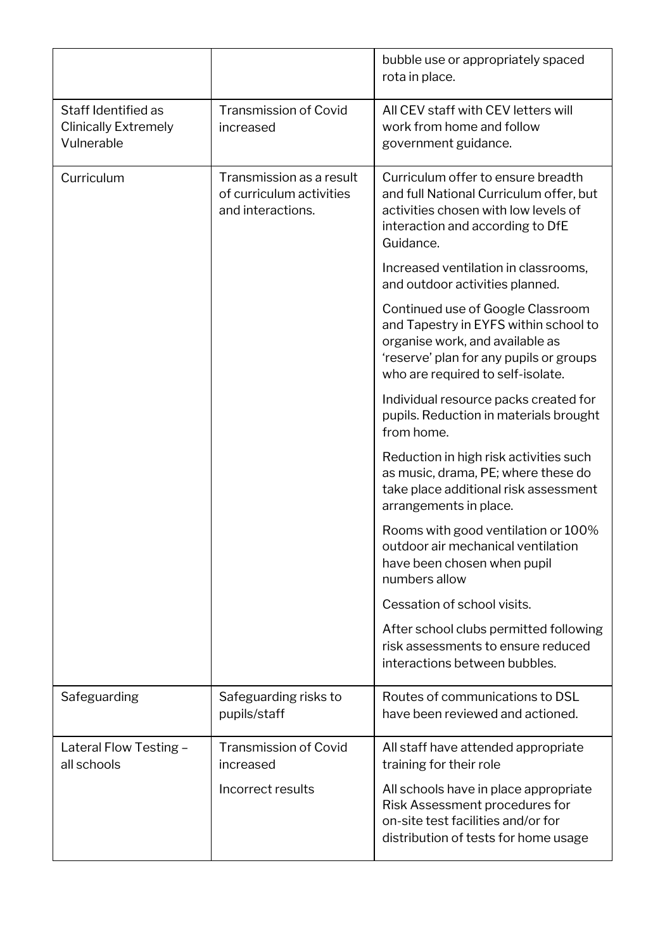|                                                                  |                                                                           | bubble use or appropriately spaced<br>rota in place.                                                                                                                                          |
|------------------------------------------------------------------|---------------------------------------------------------------------------|-----------------------------------------------------------------------------------------------------------------------------------------------------------------------------------------------|
| Staff Identified as<br><b>Clinically Extremely</b><br>Vulnerable | <b>Transmission of Covid</b><br>increased                                 | All CEV staff with CEV letters will<br>work from home and follow<br>government guidance.                                                                                                      |
| Curriculum                                                       | Transmission as a result<br>of curriculum activities<br>and interactions. | Curriculum offer to ensure breadth<br>and full National Curriculum offer, but<br>activities chosen with low levels of<br>interaction and according to DfE<br>Guidance.                        |
|                                                                  |                                                                           | Increased ventilation in classrooms,<br>and outdoor activities planned.                                                                                                                       |
|                                                                  |                                                                           | Continued use of Google Classroom<br>and Tapestry in EYFS within school to<br>organise work, and available as<br>'reserve' plan for any pupils or groups<br>who are required to self-isolate. |
|                                                                  |                                                                           | Individual resource packs created for<br>pupils. Reduction in materials brought<br>from home.                                                                                                 |
|                                                                  |                                                                           | Reduction in high risk activities such<br>as music, drama, PE; where these do<br>take place additional risk assessment<br>arrangements in place.                                              |
|                                                                  |                                                                           | Rooms with good ventilation or 100%<br>outdoor air mechanical ventilation<br>have been chosen when pupil<br>numbers allow                                                                     |
|                                                                  |                                                                           | Cessation of school visits.                                                                                                                                                                   |
|                                                                  |                                                                           | After school clubs permitted following<br>risk assessments to ensure reduced<br>interactions between bubbles.                                                                                 |
| Safeguarding                                                     | Safeguarding risks to<br>pupils/staff                                     | Routes of communications to DSL<br>have been reviewed and actioned.                                                                                                                           |
| Lateral Flow Testing -<br>all schools                            | <b>Transmission of Covid</b><br>increased                                 | All staff have attended appropriate<br>training for their role                                                                                                                                |
|                                                                  | Incorrect results                                                         | All schools have in place appropriate<br>Risk Assessment procedures for<br>on-site test facilities and/or for<br>distribution of tests for home usage                                         |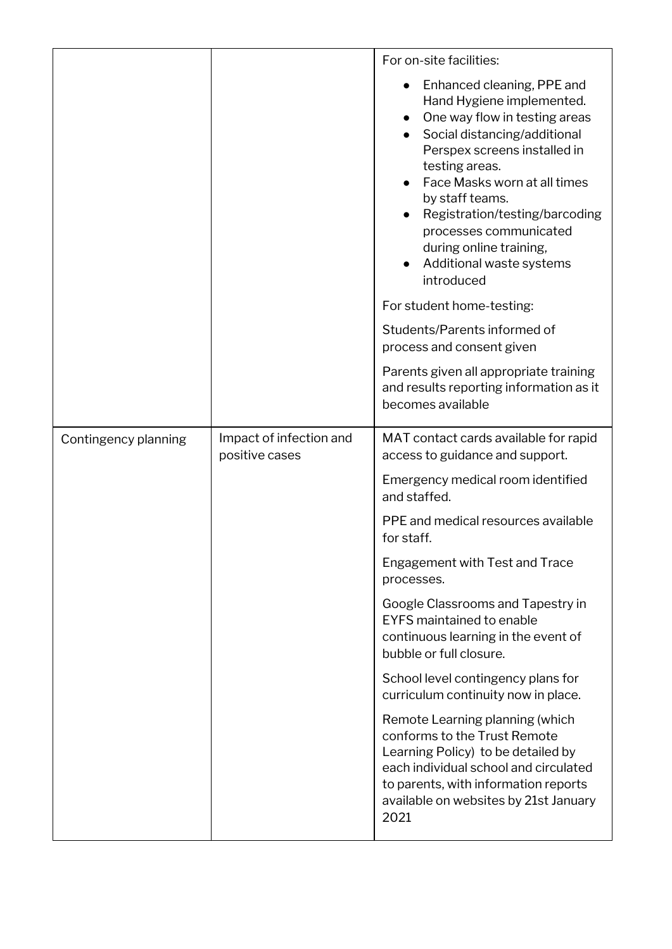|                      |                                           | For on-site facilities:                                                                                                                                                                                                                                                                                                                                        |
|----------------------|-------------------------------------------|----------------------------------------------------------------------------------------------------------------------------------------------------------------------------------------------------------------------------------------------------------------------------------------------------------------------------------------------------------------|
|                      |                                           | Enhanced cleaning, PPE and<br>Hand Hygiene implemented.<br>One way flow in testing areas<br>Social distancing/additional<br>Perspex screens installed in<br>testing areas.<br>Face Masks worn at all times<br>by staff teams.<br>Registration/testing/barcoding<br>processes communicated<br>during online training,<br>Additional waste systems<br>introduced |
|                      |                                           | For student home-testing:                                                                                                                                                                                                                                                                                                                                      |
|                      |                                           | Students/Parents informed of<br>process and consent given                                                                                                                                                                                                                                                                                                      |
|                      |                                           | Parents given all appropriate training<br>and results reporting information as it<br>becomes available                                                                                                                                                                                                                                                         |
| Contingency planning | Impact of infection and<br>positive cases | MAT contact cards available for rapid<br>access to guidance and support.                                                                                                                                                                                                                                                                                       |
|                      |                                           | Emergency medical room identified<br>and staffed.                                                                                                                                                                                                                                                                                                              |
|                      |                                           | PPE and medical resources available<br>for staff.                                                                                                                                                                                                                                                                                                              |
|                      |                                           | Engagement with Test and Trace<br>processes.                                                                                                                                                                                                                                                                                                                   |
|                      |                                           | Google Classrooms and Tapestry in<br><b>EYFS</b> maintained to enable<br>continuous learning in the event of<br>bubble or full closure.                                                                                                                                                                                                                        |
|                      |                                           | School level contingency plans for<br>curriculum continuity now in place.                                                                                                                                                                                                                                                                                      |
|                      |                                           | Remote Learning planning (which<br>conforms to the Trust Remote<br>Learning Policy) to be detailed by<br>each individual school and circulated<br>to parents, with information reports<br>available on websites by 21st January<br>2021                                                                                                                        |